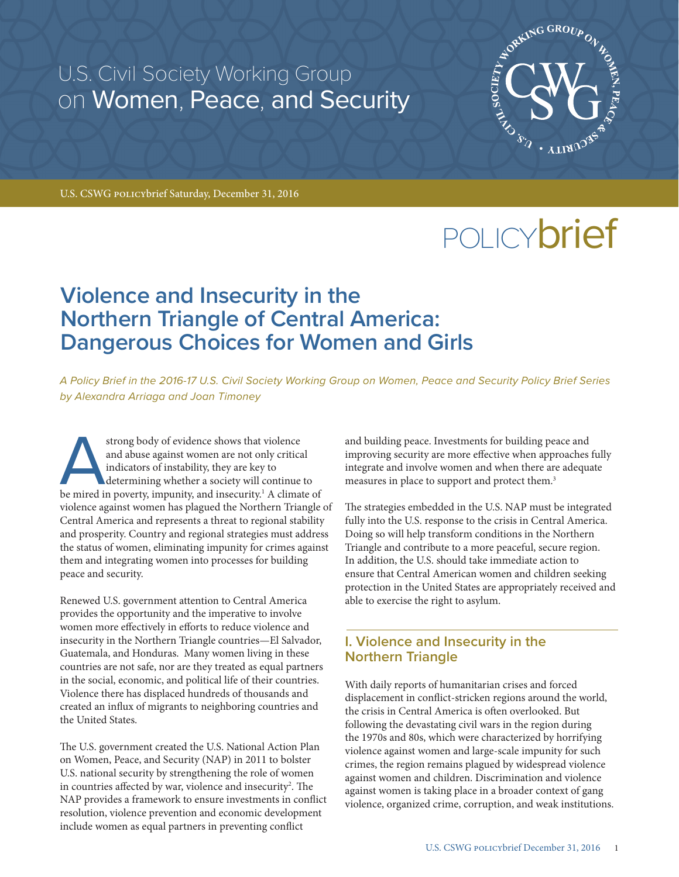U.S. Civil Society Working Group on Women, Peace, and Security



U.S. CSWG policybrief Saturday, December 31, 2016

# POLICY**brief**

# **Violence and Insecurity in the Northern Triangle of Central America: Dangerous Choices for Women and Girls**

*A Policy Brief in the 2016-17 U.S. Civil Society Working Group on Women, Peace and Security Policy Brief Series by Alexandra Arriaga and Joan Timoney*

Astrong body of evidence shows that violence and abuse against women are not only critical indicators of instability, they are key to determining whether a society will continue to be mired in poverty, impunity, and insecu and abuse against women are not only critical indicators of instability, they are key to determining whether a society will continue to violence against women has plagued the Northern Triangle of Central America and represents a threat to regional stability and prosperity. Country and regional strategies must address the status of women, eliminating impunity for crimes against them and integrating women into processes for building peace and security.

Renewed U.S. government attention to Central America provides the opportunity and the imperative to involve women more effectively in efforts to reduce violence and insecurity in the Northern Triangle countries—El Salvador, Guatemala, and Honduras. Many women living in these countries are not safe, nor are they treated as equal partners in the social, economic, and political life of their countries. Violence there has displaced hundreds of thousands and created an influx of migrants to neighboring countries and the United States.

The U.S. government created the U.S. National Action Plan on Women, Peace, and Security (NAP) in 2011 to bolster U.S. national security by strengthening the role of women in countries affected by war, violence and insecurity<sup>2</sup>. The NAP provides a framework to ensure investments in conflict resolution, violence prevention and economic development include women as equal partners in preventing conflict

and building peace. Investments for building peace and improving security are more effective when approaches fully integrate and involve women and when there are adequate measures in place to support and protect them.<sup>3</sup>

The strategies embedded in the U.S. NAP must be integrated fully into the U.S. response to the crisis in Central America. Doing so will help transform conditions in the Northern Triangle and contribute to a more peaceful, secure region. In addition, the U.S. should take immediate action to ensure that Central American women and children seeking protection in the United States are appropriately received and able to exercise the right to asylum.

# **I. Violence and Insecurity in the Northern Triangle**

With daily reports of humanitarian crises and forced displacement in conflict-stricken regions around the world, the crisis in Central America is often overlooked. But following the devastating civil wars in the region during the 1970s and 80s, which were characterized by horrifying violence against women and large-scale impunity for such crimes, the region remains plagued by widespread violence against women and children. Discrimination and violence against women is taking place in a broader context of gang violence, organized crime, corruption, and weak institutions.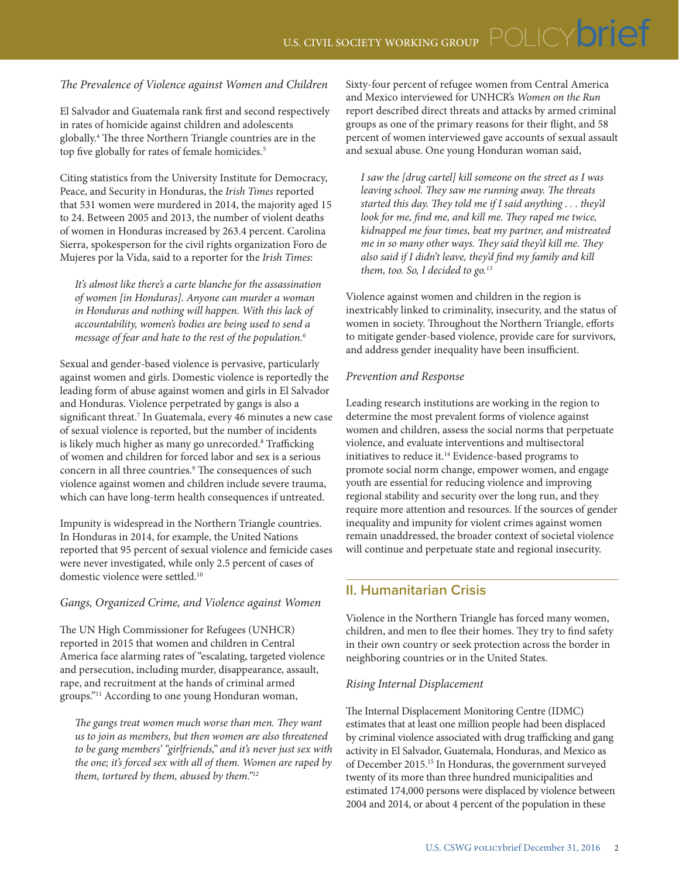### *The Prevalence of Violence against Women and Children*

El Salvador and Guatemala rank first and second respectively in rates of homicide against children and adolescents globally.4 The three Northern Triangle countries are in the top five globally for rates of female homicides.<sup>5</sup>

Citing statistics from the University Institute for Democracy, Peace, and Security in Honduras, the *Irish Times* reported that 531 women were murdered in 2014, the majority aged 15 to 24. Between 2005 and 2013, the number of violent deaths of women in Honduras increased by 263.4 percent. Carolina Sierra, spokesperson for the civil rights organization Foro de Mujeres por la Vida, said to a reporter for the *Irish Times*:

*It's almost like there's a carte blanche for the assassination of women [in Honduras]. Anyone can murder a woman in Honduras and nothing will happen. With this lack of accountability, women's bodies are being used to send a message of fear and hate to the rest of the population.6*

Sexual and gender-based violence is pervasive, particularly against women and girls. Domestic violence is reportedly the leading form of abuse against women and girls in El Salvador and Honduras. Violence perpetrated by gangs is also a significant threat.7 In Guatemala, every 46 minutes a new case of sexual violence is reported, but the number of incidents is likely much higher as many go unrecorded.<sup>8</sup> Trafficking of women and children for forced labor and sex is a serious concern in all three countries.<sup>9</sup> The consequences of such violence against women and children include severe trauma, which can have long-term health consequences if untreated.

Impunity is widespread in the Northern Triangle countries. In Honduras in 2014, for example, the [United Nations](http://www.irishtimes.com/search/search-7.1213540?tag_organisation=United%20Nations&article=true) reported that 95 percent of sexual violence and femicide cases were never investigated, while only 2.5 percent of cases of domestic violence were settled.10

#### *Gangs, Organized Crime, and Violence against Women*

The UN High Commissioner for Refugees (UNHCR) reported in 2015 that women and children in Central America face alarming rates of "escalating, targeted violence and persecution, including murder, disappearance, assault, rape, and recruitment at the hands of criminal armed groups."11 According to one young Honduran woman,

*The gangs treat women much worse than men. They want us to join as members, but then women are also threatened to be gang members' "girlfriends," and it's never just sex with the one; it's forced sex with all of them. Women are raped by them, tortured by them, abused by them."12*

Sixty-four percent of refugee women from Central America and Mexico interviewed for UNHCR's *Women on the Run* report described direct threats and attacks by armed criminal groups as one of the primary reasons for their flight, and 58 percent of women interviewed gave accounts of sexual assault and sexual abuse. One young Honduran woman said,

*I saw the [drug cartel] kill someone on the street as I was leaving school. They saw me running away. The threats started this day. They told me if I said anything . . . they'd look for me, find me, and kill me. They raped me twice, kidnapped me four times, beat my partner, and mistreated me in so many other ways. They said they'd kill me. They also said if I didn't leave, they'd find my family and kill them, too. So, I decided to go.13*

Violence against women and children in the region is inextricably linked to criminality, insecurity, and the status of women in society. Throughout the Northern Triangle, efforts to mitigate gender-based violence, provide care for survivors, and address gender inequality have been insufficient.

#### *Prevention and Response*

Leading research institutions are working in the region to determine the most prevalent forms of violence against women and children, assess the social norms that perpetuate violence, and evaluate interventions and multisectoral initiatives to reduce it.14 Evidence-based programs to promote social norm change, empower women, and engage youth are essential for reducing violence and improving regional stability and security over the long run, and they require more attention and resources. If the sources of gender inequality and impunity for violent crimes against women remain unaddressed, the broader context of societal violence will continue and perpetuate state and regional insecurity.

# **II. Humanitarian Crisis**

Violence in the Northern Triangle has forced many women, children, and men to flee their homes. They try to find safety in their own country or seek protection across the border in neighboring countries or in the United States.

#### *Rising Internal Displacement*

The Internal Displacement Monitoring Centre (IDMC) estimates that at least one million people had been displaced by criminal violence associated with drug trafficking and gang activity in El Salvador, Guatemala, Honduras, and Mexico as of December 2015.15 In Honduras, the government surveyed twenty of its more than three hundred municipalities and estimated 174,000 persons were displaced by violence between 2004 and 2014, or about 4 percent of the population in these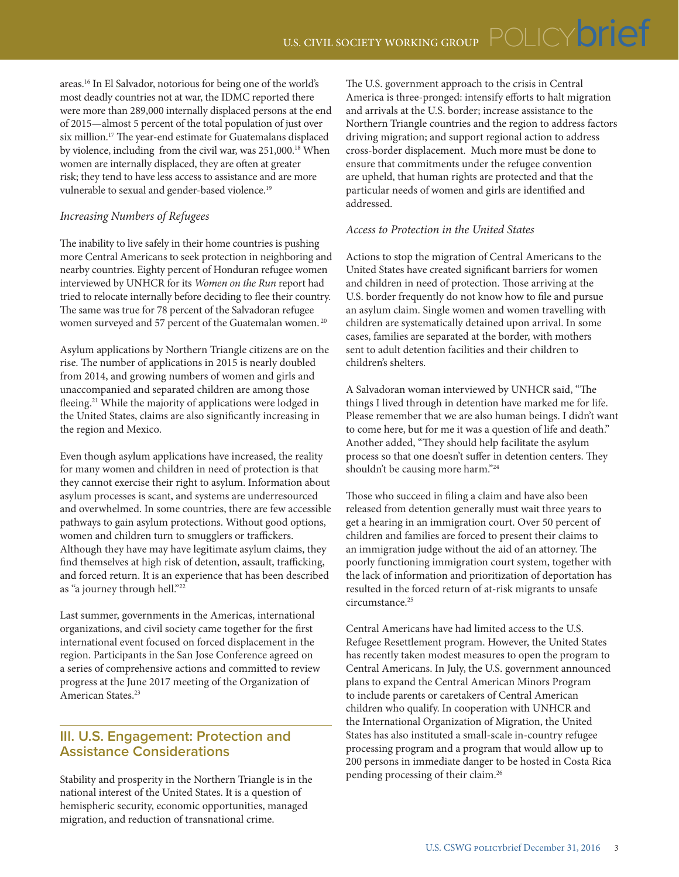areas.16 In El Salvador, notorious for being one of the world's most deadly countries not at war, the IDMC reported there were more than 289,000 internally displaced persons at the end of 2015—almost 5 percent of the total population of just over six million.17 The year-end estimate for Guatemalans displaced by violence, including from the civil war, was 251,000.18 When women are internally displaced, they are often at greater risk; they tend to have less access to assistance and are more vulnerable to sexual and gender-based violence.<sup>19</sup>

## *Increasing Numbers of Refugees*

The inability to live safely in their home countries is pushing more Central Americans to seek protection in neighboring and nearby countries. Eighty percent of Honduran refugee women interviewed by UNHCR for its *Women on the Run* report had tried to relocate internally before deciding to flee their country. The same was true for 78 percent of the Salvadoran refugee women surveyed and 57 percent of the Guatemalan women. 20

Asylum applications by Northern Triangle citizens are on the rise. The number of applications in 2015 is nearly doubled from 2014, and growing numbers of women and girls and unaccompanied and separated children are among those fleeing.<sup>21</sup> While the majority of applications were lodged in the United States, claims are also significantly increasing in the region and Mexico.

Even though asylum applications have increased, the reality for many women and children in need of protection is that they cannot exercise their right to asylum. Information about asylum processes is scant, and systems are underresourced and overwhelmed. In some countries, there are few accessible pathways to gain asylum protections. Without good options, women and children turn to smugglers or traffickers. Although they have may have legitimate asylum claims, they find themselves at high risk of detention, assault, trafficking, and forced return. It is an experience that has been described as "a journey through hell."<sup>22</sup>

Last summer, governments in the Americas, international organizations, and civil society came together for the first international event focused on forced displacement in the region. Participants in the San Jose Conference agreed on a series of comprehensive actions and committed to review progress at the June 2017 meeting of the Organization of American States.<sup>23</sup>

# **III. U.S. Engagement: Protection and Assistance Considerations**

Stability and prosperity in the Northern Triangle is in the national interest of the United States. It is a question of hemispheric security, economic opportunities, managed migration, and reduction of transnational crime.

The U.S. government approach to the crisis in Central America is three-pronged: intensify efforts to halt migration and arrivals at the U.S. border; increase assistance to the Northern Triangle countries and the region to address factors driving migration; and support regional action to address cross-border displacement. Much more must be done to ensure that commitments under the refugee convention are upheld, that human rights are protected and that the particular needs of women and girls are identified and <sub>a</sub>ddressed.

#### *Access to Protection in the United States*

Actions to stop the migration of Central Americans to the United States have created significant barriers for women and children in need of protection. Those arriving at the U.S. border frequently do not know how to file and pursue an asylum claim. Single women and women travelling with children are systematically detained upon arrival. In some cases, families are separated at the border, with mothers sent to adult detention facilities and their children to children's shelters.

A Salvadoran woman interviewed by UNHCR said, "The things I lived through in detention have marked me for life. Please remember that we are also human beings. I didn't want to come here, but for me it was a question of life and death." Another added, "They should help facilitate the asylum process so that one doesn't suffer in detention centers. They shouldn't be causing more harm."24

Those who succeed in filing a claim and have also been released from detention generally must wait three years to get a hearing in an immigration court. Over 50 percent of children and families are forced to present their claims to an immigration judge without the aid of an attorney. The poorly functioning immigration court system, together with the lack of information and prioritization of deportation has resulted in the forced return of at-risk migrants to unsafe circumstance.<sup>25</sup>

Central Americans have had limited access to the U.S. Refugee Resettlement program. However, the United States has recently taken modest measures to open the program to Central Americans. In July, the U.S. government announced plans to expand the Central American Minors Program to include parents or caretakers of Central American children who qualify. In cooperation with UNHCR and the International Organization of Migration, the United States has also instituted a small-scale in-country refugee processing program and a program that would allow up to 200 persons in immediate danger to be hosted in Costa Rica pending processing of their claim.26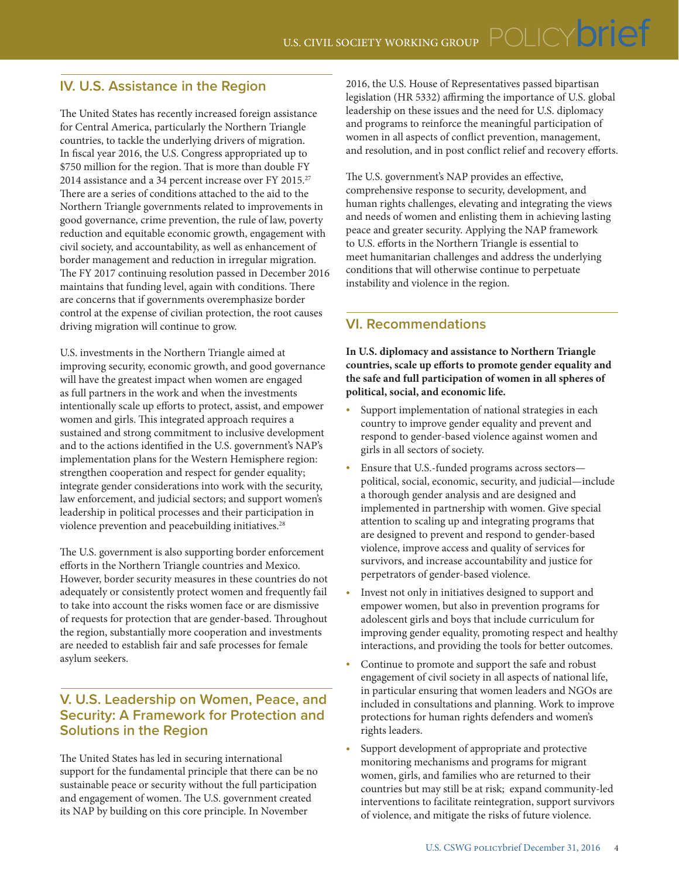# **IV. U.S. Assistance in the Region**

The United States has recently increased foreign assistance for Central America, particularly the Northern Triangle countries, to tackle the underlying drivers of migration. In fiscal year 2016, the U.S. Congress appropriated up to \$750 million for the region. That is more than double FY 2014 assistance and a 34 percent increase over FY 2015.<sup>27</sup> There are a series of conditions attached to the aid to the Northern Triangle governments related to improvements in good governance, crime prevention, the rule of law, poverty reduction and equitable economic growth, engagement with civil society, and accountability, as well as enhancement of border management and reduction in irregular migration. The FY 2017 continuing resolution passed in December 2016 maintains that funding level, again with conditions. There are concerns that if governments overemphasize border control at the expense of civilian protection, the root causes driving migration will continue to grow.

U.S. investments in the Northern Triangle aimed at improving security, economic growth, and good governance will have the greatest impact when women are engaged as full partners in the work and when the investments intentionally scale up efforts to protect, assist, and empower women and girls. This integrated approach requires a sustained and strong commitment to inclusive development and to the actions identified in the U.S. government's NAP's implementation plans for the Western Hemisphere region: strengthen cooperation and respect for gender equality; integrate gender considerations into work with the security, law enforcement, and judicial sectors; and support women's leadership in political processes and their participation in violence prevention and peacebuilding initiatives.<sup>28</sup>

The U.S. government is also supporting border enforcement efforts in the Northern Triangle countries and Mexico. However, border security measures in these countries do not adequately or consistently protect women and frequently fail to take into account the risks women face or are dismissive of requests for protection that are gender-based. Throughout the region, substantially more cooperation and investments are needed to establish fair and safe processes for female asylum seekers.

# **V. U.S. Leadership on Women, Peace, and Security: A Framework for Protection and Solutions in the Region**

The United States has led in securing international support for the fundamental principle that there can be no sustainable peace or security without the full participation and engagement of women. The U.S. government created its NAP by building on this core principle. In November

2016, the U.S. House of Representatives passed bipartisan legislation (HR 5332) affirming the importance of U.S. global leadership on these issues and the need for U.S. diplomacy and programs to reinforce the meaningful participation of women in all aspects of conflict prevention, management, and resolution, and in post conflict relief and recovery efforts.

The U.S. government's NAP provides an effective, comprehensive response to security, development, and human rights challenges, elevating and integrating the views and needs of women and enlisting them in achieving lasting peace and greater security. Applying the NAP framework to U.S. efforts in the Northern Triangle is essential to meet humanitarian challenges and address the underlying conditions that will otherwise continue to perpetuate instability and violence in the region.

# **VI. Recommendations**

**In U.S. diplomacy and assistance to Northern Triangle countries, scale up efforts to promote gender equality and the safe and full participation of women in all spheres of political, social, and economic life.**

- Support implementation of national strategies in each country to improve gender equality and prevent and respond to gender-based violence against women and girls in all sectors of society.
- Ensure that U.S.-funded programs across sectorspolitical, social, economic, security, and judicial—include a thorough gender analysis and are designed and implemented in partnership with women. Give special attention to scaling up and integrating programs that are designed to prevent and respond to gender-based violence, improve access and quality of services for survivors, and increase accountability and justice for perpetrators of gender-based violence.
- Invest not only in initiatives designed to support and empower women, but also in prevention programs for adolescent girls and boys that include curriculum for improving gender equality, promoting respect and healthy interactions, and providing the tools for better outcomes.
- Continue to promote and support the safe and robust engagement of civil society in all aspects of national life, in particular ensuring that women leaders and NGOs are included in consultations and planning. Work to improve protections for human rights defenders and women's rights leaders.
- Support development of appropriate and protective monitoring mechanisms and programs for migrant women, girls, and families who are returned to their countries but may still be at risk; expand community-led interventions to facilitate reintegration, support survivors of violence, and mitigate the risks of future violence.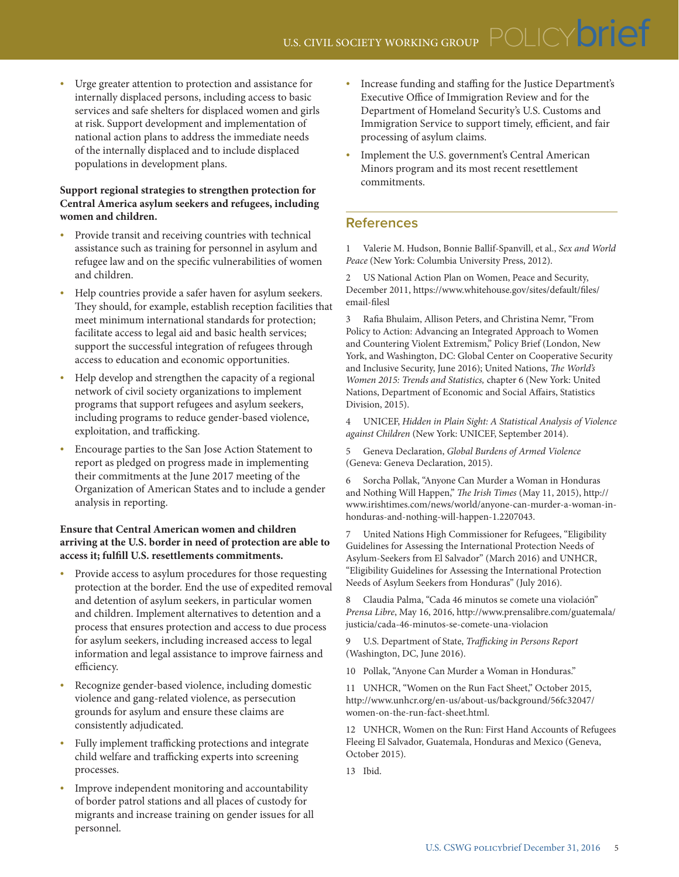Urge greater attention to protection and assistance for internally displaced persons, including access to basic services and safe shelters for displaced women and girls at risk. Support development and implementation of national action plans to address the immediate needs of the internally displaced and to include displaced populations in development plans.

#### **Support regional strategies to strengthen protection for Central America asylum seekers and refugees, including women and children.**

- Provide transit and receiving countries with technical assistance such as training for personnel in asylum and refugee law and on the specific vulnerabilities of women and children.
- Help countries provide a safer haven for asylum seekers. They should, for example, establish reception facilities that meet minimum international standards for protection; facilitate access to legal aid and basic health services; support the successful integration of refugees through access to education and economic opportunities.
- Help develop and strengthen the capacity of a regional network of civil society organizations to implement programs that support refugees and asylum seekers, including programs to reduce gender-based violence, exploitation, and trafficking.
- Encourage parties to the San Jose Action Statement to report as pledged on progress made in implementing their commitments at the June 2017 meeting of the Organization of American States and to include a gender analysis in reporting.

#### **Ensure that Central American women and children arriving at the U.S. border in need of protection are able to access it; fulfill U.S. resettlements commitments.**

- Provide access to asylum procedures for those requesting protection at the border. End the use of expedited removal and detention of asylum seekers, in particular women and children. Implement alternatives to detention and a process that ensures protection and access to due process for asylum seekers, including increased access to legal information and legal assistance to improve fairness and efficiency.
- Recognize gender-based violence, including domestic violence and gang-related violence, as persecution grounds for asylum and ensure these claims are consistently adjudicated.
- Fully implement trafficking protections and integrate child welfare and trafficking experts into screening processes.
- Improve independent monitoring and accountability of border patrol stations and all places of custody for migrants and increase training on gender issues for all personnel.
- Increase funding and staffing for the Justice Department's Executive Office of Immigration Review and for the Department of Homeland Security's U.S. Customs and Immigration Service to support timely, efficient, and fair processing of asylum claims.
- Implement the U.S. government's Central American Minors program and its most recent resettlement commitments.

# **References**

1 Valerie M. Hudson, Bonnie Ballif-Spanvill, et al., *Sex and World Peace* (New York: Columbia University Press, 2012).

2 US National Action Plan on Women, Peace and Security, December 2011, https://www.whitehouse.gov/sites/default/files/ email-filesl

3 Rafia Bhulaim, Allison Peters, and Christina Nemr, "From Policy to Action: Advancing an Integrated Approach to Women and Countering Violent Extremism," Policy Brief (London, New York, and Washington, DC: Global Center on Cooperative Security and Inclusive Security, June 2016); United Nations, *The World's Women 2015: Trends and Statistics,* chapter 6 (New York: United Nations, Department of Economic and Social Affairs, Statistics Division, 2015).

4 UNICEF, *Hidden in Plain Sight: A Statistical Analysis of Violence against Children* (New York: UNICEF, September 2014).

5 Geneva Declaration, *Global Burdens of Armed Violence*  (Geneva: Geneva Declaration, 2015).

6 Sorcha Pollak, "Anyone Can Murder a Woman in Honduras and Nothing Will Happen," *The Irish Times* (May 11, 2015), [http://](http://www.irishtimes.com/news/world/anyone-can-murder-a-woman-in-honduras-and-nothing-will-happen-1.2207043) [www.irishtimes.com/news/world/anyone-can-murder-a-woman-in](http://www.irishtimes.com/news/world/anyone-can-murder-a-woman-in-honduras-and-nothing-will-happen-1.2207043)[honduras-and-nothing-will-happen-1.2207043.](http://www.irishtimes.com/news/world/anyone-can-murder-a-woman-in-honduras-and-nothing-will-happen-1.2207043)

7 United Nations High Commissioner for Refugees, "Eligibility Guidelines for Assessing the International Protection Needs of Asylum-Seekers from El Salvador" (March 2016) and UNHCR, "Eligibility Guidelines for Assessing the International Protection Needs of Asylum Seekers from Honduras" (July 2016).

8 Claudia Palma, "Cada 46 minutos se comete una violación" *Prensa Libre*, May 16, 2016, [http://www.prensalibre.com/guatemala/](http://www.prensalibre.com/guatemala/justicia/cada-46-minutos-se-comete-una-violacion) [justicia/cada-46-minutos-se-comete-una-violacion](http://www.prensalibre.com/guatemala/justicia/cada-46-minutos-se-comete-una-violacion)

9 U.S. Department of State, *Trafficking in Persons Report* (Washington, DC, June 2016).

10 Pollak, "Anyone Can Murder a Woman in Honduras."

11 UNHCR, "Women on the Run Fact Sheet," October 2015, [http://www.unhcr.org/en-us/about-us/background/56fc32047/](http://www.unhcr.org/en-us/about-us/background/56fc32047/women-on-the-run-fact-sheet.html) [women-on-the-run-fact-sheet.html](http://www.unhcr.org/en-us/about-us/background/56fc32047/women-on-the-run-fact-sheet.html).

12 UNHCR, Women on the Run: First Hand Accounts of Refugees Fleeing El Salvador, Guatemala, Honduras and Mexico (Geneva, October 2015).

13 Ibid.